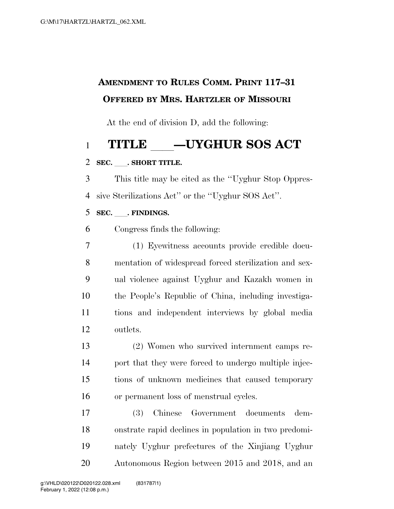### **AMENDMENT TO RULES COMM. PRINT 117–31 OFFERED BY MRS. HARTZLER OF MISSOURI**

At the end of division D, add the following:

# 1 **TITLE \_\_\_\_\_UYGHUR SOS ACT**  $_2$  sec. . Short title.

#### SEC. **. SHORT TITLE.**

 This title may be cited as the ''Uyghur Stop Oppres-sive Sterilizations Act'' or the ''Uyghur SOS Act''.

#### **SEC.** . FINDINGS.

Congress finds the following:

 (1) Eyewitness accounts provide credible docu- mentation of widespread forced sterilization and sex- ual violence against Uyghur and Kazakh women in the People's Republic of China, including investiga- tions and independent interviews by global media outlets.

 (2) Women who survived internment camps re- port that they were forced to undergo multiple injec- tions of unknown medicines that caused temporary or permanent loss of menstrual cycles.

 (3) Chinese Government documents dem- onstrate rapid declines in population in two predomi- nately Uyghur prefectures of the Xinjiang Uyghur Autonomous Region between 2015 and 2018, and an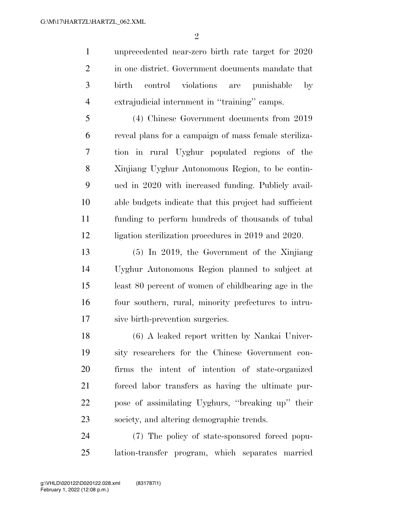unprecedented near-zero birth rate target for 2020 2 in one district. Government documents mandate that birth control violations are punishable by extrajudicial internment in ''training'' camps.

 (4) Chinese Government documents from 2019 reveal plans for a campaign of mass female steriliza- tion in rural Uyghur populated regions of the Xinjiang Uyghur Autonomous Region, to be contin- ued in 2020 with increased funding. Publicly avail- able budgets indicate that this project had sufficient funding to perform hundreds of thousands of tubal ligation sterilization procedures in 2019 and 2020.

 (5) In 2019, the Government of the Xinjiang Uyghur Autonomous Region planned to subject at least 80 percent of women of childbearing age in the four southern, rural, minority prefectures to intru-sive birth-prevention surgeries.

 (6) A leaked report written by Nankai Univer- sity researchers for the Chinese Government con- firms the intent of intention of state-organized forced labor transfers as having the ultimate pur- pose of assimilating Uyghurs, ''breaking up'' their society, and altering demographic trends.

 (7) The policy of state-sponsored forced popu-lation-transfer program, which separates married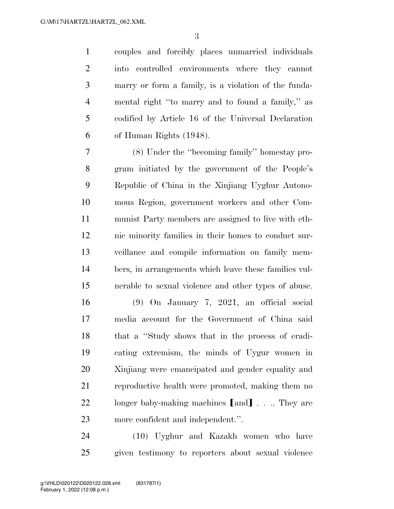couples and forcibly places unmarried individuals into controlled environments where they cannot marry or form a family, is a violation of the funda- mental right ''to marry and to found a family,'' as codified by Article 16 of the Universal Declaration of Human Rights (1948).

 (8) Under the ''becoming family'' homestay pro- gram initiated by the government of the People's Republic of China in the Xinjiang Uyghur Autono- mous Region, government workers and other Com- munist Party members are assigned to live with eth- nic minority families in their homes to conduct sur- veillance and compile information on family mem- bers, in arrangements which leave these families vul-nerable to sexual violence and other types of abuse.

 (9) On January 7, 2021, an official social media account for the Government of China said that a ''Study shows that in the process of eradi- cating extremism, the minds of Uygur women in Xinjiang were emancipated and gender equality and reproductive health were promoted, making them no 22 longer baby-making machines [and]... They are more confident and independent.''.

 (10) Uyghur and Kazakh women who have given testimony to reporters about sexual violence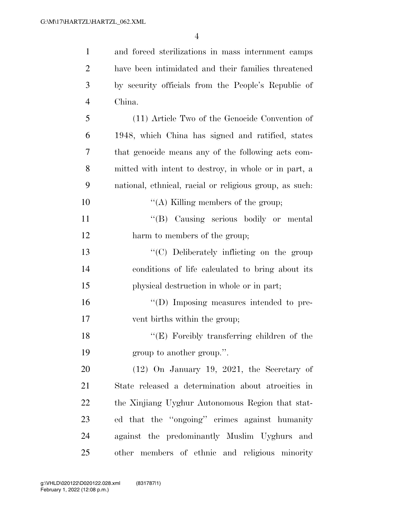| $\mathbf{1}$   | and forced sterilizations in mass internment camps      |
|----------------|---------------------------------------------------------|
| $\overline{2}$ | have been intimidated and their families threatened     |
| 3              | by security officials from the People's Republic of     |
| $\overline{4}$ | China.                                                  |
| 5              | (11) Article Two of the Genocide Convention of          |
| 6              | 1948, which China has signed and ratified, states       |
| $\overline{7}$ | that genocide means any of the following acts com-      |
| 8              | mitted with intent to destroy, in whole or in part, a   |
| 9              | national, ethnical, racial or religious group, as such: |
| 10             | "(A) Killing members of the group;                      |
| 11             | "(B) Causing serious bodily or mental                   |
| 12             | harm to members of the group;                           |
| 13             | "(C) Deliberately inflicting on the group               |
| 14             | conditions of life calculated to bring about its        |
| 15             | physical destruction in whole or in part;               |
| 16             | "(D) Imposing measures intended to pre-                 |
| 17             | vent births within the group;                           |
| 18             | "(E) Forcibly transferring children of the              |
| 19             | group to another group.".                               |
| 20             | $(12)$ On January 19, 2021, the Secretary of            |
| 21             | State released a determination about atrocities in      |
| 22             | the Xinjiang Uyghur Autonomous Region that stat-        |
| 23             | ed that the "ongoing" crimes against humanity           |
| 24             | against the predominantly Muslim Uyghurs and            |
| 25             | other members of ethnic and religious minority          |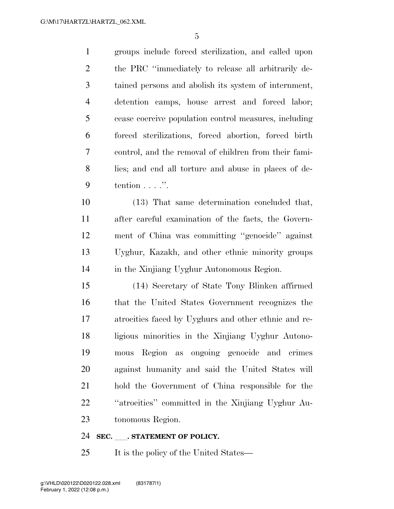groups include forced sterilization, and called upon the PRC ''immediately to release all arbitrarily de- tained persons and abolish its system of internment, detention camps, house arrest and forced labor; cease coercive population control measures, including forced sterilizations, forced abortion, forced birth control, and the removal of children from their fami- lies; and end all torture and abuse in places of de-tention . . . .''.

 (13) That same determination concluded that, after careful examination of the facts, the Govern- ment of China was committing ''genocide'' against Uyghur, Kazakh, and other ethnic minority groups in the Xinjiang Uyghur Autonomous Region.

 (14) Secretary of State Tony Blinken affirmed that the United States Government recognizes the atrocities faced by Uyghurs and other ethnic and re- ligious minorities in the Xinjiang Uyghur Autono- mous Region as ongoing genocide and crimes against humanity and said the United States will hold the Government of China responsible for the ''atrocities'' committed in the Xinjiang Uyghur Au-tonomous Region.

#### **SEC.** STATEMENT OF POLICY.

25 It is the policy of the United States—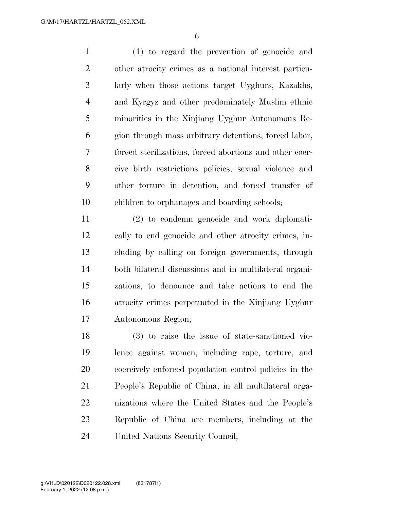(1) to regard the prevention of genocide and other atrocity crimes as a national interest particu- larly when those actions target Uyghurs, Kazakhs, and Kyrgyz and other predominately Muslim ethnic minorities in the Xinjiang Uyghur Autonomous Re- gion through mass arbitrary detentions, forced labor, forced sterilizations, forced abortions and other coer- cive birth restrictions policies, sexual violence and other torture in detention, and forced transfer of children to orphanages and boarding schools;

 (2) to condemn genocide and work diplomati- cally to end genocide and other atrocity crimes, in- cluding by calling on foreign governments, through both bilateral discussions and in multilateral organi- zations, to denounce and take actions to end the atrocity crimes perpetuated in the Xinjiang Uyghur Autonomous Region;

 (3) to raise the issue of state-sanctioned vio- lence against women, including rape, torture, and coercively enforced population control policies in the People's Republic of China, in all multilateral orga- nizations where the United States and the People's Republic of China are members, including at the United Nations Security Council;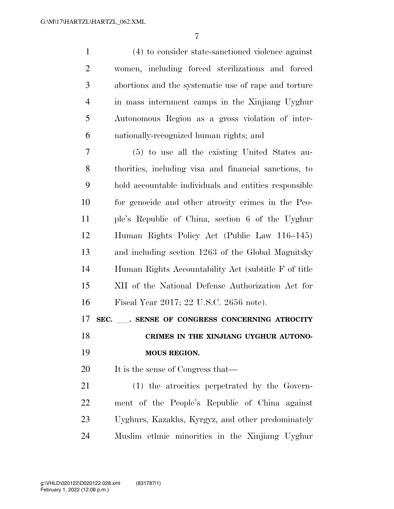(4) to consider state-sanctioned violence against women, including forced sterilizations and forced abortions and the systematic use of rape and torture in mass internment camps in the Xinjiang Uyghur Autonomous Region as a gross violation of inter-nationally-recognized human rights; and

 (5) to use all the existing United States au- thorities, including visa and financial sanctions, to hold accountable individuals and entities responsible for genocide and other atrocity crimes in the Peo- ple's Republic of China, section 6 of the Uyghur Human Rights Policy Act (Public Law 116–145) and including section 1263 of the Global Magnitsky Human Rights Accountability Act (subtitle F of title XII of the National Defense Authorization Act for Fiscal Year 2017; 22 U.S.C. 2656 note).

**SEC.** ll**. SENSE OF CONGRESS CONCERNING ATROCITY** 

 **CRIMES IN THE XINJIANG UYGHUR AUTONO-MOUS REGION.** 

20 It is the sense of Congress that—

 (1) the atrocities perpetrated by the Govern- ment of the People's Republic of China against Uyghurs, Kazakhs, Kyrgyz, and other predominately Muslim ethnic minorities in the Xinjiang Uyghur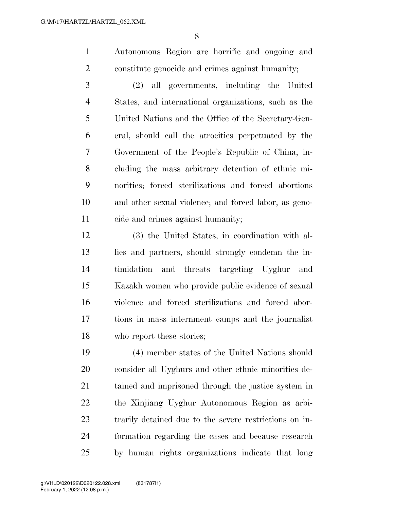Autonomous Region are horrific and ongoing and constitute genocide and crimes against humanity;

 (2) all governments, including the United States, and international organizations, such as the United Nations and the Office of the Secretary-Gen- eral, should call the atrocities perpetuated by the Government of the People's Republic of China, in- cluding the mass arbitrary detention of ethnic mi- norities; forced sterilizations and forced abortions and other sexual violence; and forced labor, as geno-cide and crimes against humanity;

 (3) the United States, in coordination with al- lies and partners, should strongly condemn the in- timidation and threats targeting Uyghur and Kazakh women who provide public evidence of sexual violence and forced sterilizations and forced abor- tions in mass internment camps and the journalist who report these stories;

 (4) member states of the United Nations should consider all Uyghurs and other ethnic minorities de- tained and imprisoned through the justice system in the Xinjiang Uyghur Autonomous Region as arbi- trarily detained due to the severe restrictions on in- formation regarding the cases and because research by human rights organizations indicate that long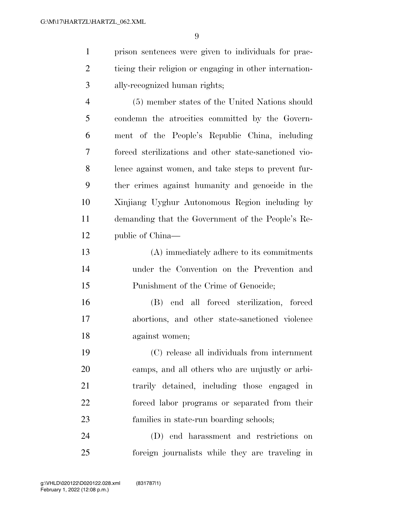prison sentences were given to individuals for prac- ticing their religion or engaging in other internation-ally-recognized human rights;

 (5) member states of the United Nations should condemn the atrocities committed by the Govern- ment of the People's Republic China, including forced sterilizations and other state-sanctioned vio- lence against women, and take steps to prevent fur- ther crimes against humanity and genocide in the Xinjiang Uyghur Autonomous Region including by demanding that the Government of the People's Re-public of China—

 (A) immediately adhere to its commitments under the Convention on the Prevention and Punishment of the Crime of Genocide;

 (B) end all forced sterilization, forced abortions, and other state-sanctioned violence against women;

 (C) release all individuals from internment camps, and all others who are unjustly or arbi- trarily detained, including those engaged in forced labor programs or separated from their families in state-run boarding schools;

 (D) end harassment and restrictions on foreign journalists while they are traveling in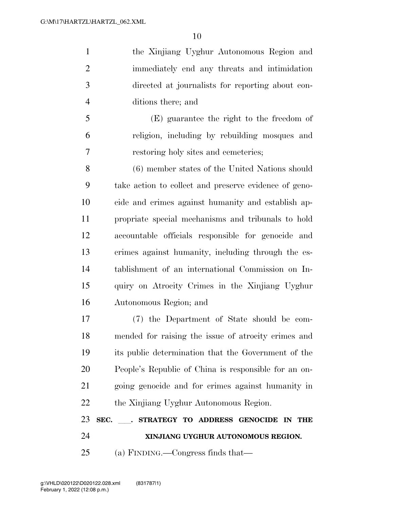the Xinjiang Uyghur Autonomous Region and immediately end any threats and intimidation directed at journalists for reporting about con-ditions there; and

 (E) guarantee the right to the freedom of religion, including by rebuilding mosques and restoring holy sites and cemeteries;

 (6) member states of the United Nations should take action to collect and preserve evidence of geno- cide and crimes against humanity and establish ap- propriate special mechanisms and tribunals to hold accountable officials responsible for genocide and crimes against humanity, including through the es- tablishment of an international Commission on In- quiry on Atrocity Crimes in the Xinjiang Uyghur Autonomous Region; and

 (7) the Department of State should be com- mended for raising the issue of atrocity crimes and its public determination that the Government of the People's Republic of China is responsible for an on- going genocide and for crimes against humanity in the Xinjiang Uyghur Autonomous Region.

## **SEC.** ll**. STRATEGY TO ADDRESS GENOCIDE IN THE XINJIANG UYGHUR AUTONOMOUS REGION.**

(a) FINDING.—Congress finds that—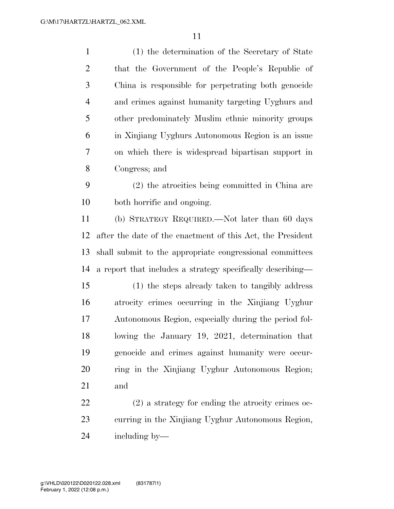| $\mathbf{1}$   | (1) the determination of the Secretary of State     |
|----------------|-----------------------------------------------------|
| 2              | that the Government of the People's Republic of     |
| 3              | China is responsible for perpetrating both genocide |
| $\overline{4}$ | and crimes against humanity targeting Uyghurs and   |
| 5              | other predominately Muslim ethnic minority groups   |
| 6              | in Xinjiang Uyghurs Autonomous Region is an issue   |
| 7              | on which there is widespread bipartisan support in  |
| 8              | Congress; and                                       |
| 9              | $(2)$ the atrocities being committed in China are   |
| 10             | both horrific and ongoing.                          |
| 11             | (b) STRATEGY REQUIRED.—Not later than 60 days       |

 after the date of the enactment of this Act, the President shall submit to the appropriate congressional committees a report that includes a strategy specifically describing—

 (1) the steps already taken to tangibly address atrocity crimes occurring in the Xinjiang Uyghur Autonomous Region, especially during the period fol- lowing the January 19, 2021, determination that genocide and crimes against humanity were occur- ring in the Xinjiang Uyghur Autonomous Region; and

 (2) a strategy for ending the atrocity crimes oc- curring in the Xinjiang Uyghur Autonomous Region, including by—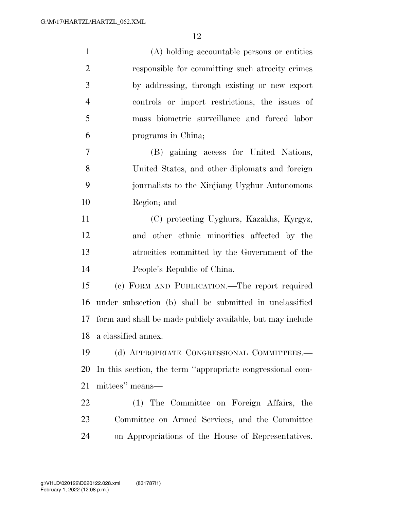| $\mathbf{1}$   | (A) holding accountable persons or entities                |
|----------------|------------------------------------------------------------|
| $\overline{2}$ | responsible for committing such atrocity crimes            |
| 3              | by addressing, through existing or new export              |
| $\overline{4}$ | controls or import restrictions, the issues of             |
| 5              | mass biometric surveillance and forced labor               |
| 6              | programs in China;                                         |
| $\overline{7}$ | (B) gaining access for United Nations,                     |
| 8              | United States, and other diplomats and foreign             |
| 9              | journalists to the Xinjiang Uyghur Autonomous              |
| 10             | Region; and                                                |
| 11             | (C) protecting Uyghurs, Kazakhs, Kyrgyz,                   |
| 12             | and other ethnic minorities affected by the                |
| 13             | atrocities committed by the Government of the              |
| 14             | People's Republic of China.                                |
| 15             | (c) FORM AND PUBLICATION.—The report required              |
| 16             | under subsection (b) shall be submitted in unclassified    |
| 17             | form and shall be made publicly available, but may include |
| 18             | a classified annex.                                        |
| 19             | (d) APPROPRIATE CONGRESSIONAL COMMITTEES.-                 |
| 20             | In this section, the term "appropriate congressional com-  |
| 21             | mittees" means—                                            |
| 22             | (1) The Committee on Foreign Affairs, the                  |
| 23             | Committee on Armed Services, and the Committee             |
| 24             | on Appropriations of the House of Representatives.         |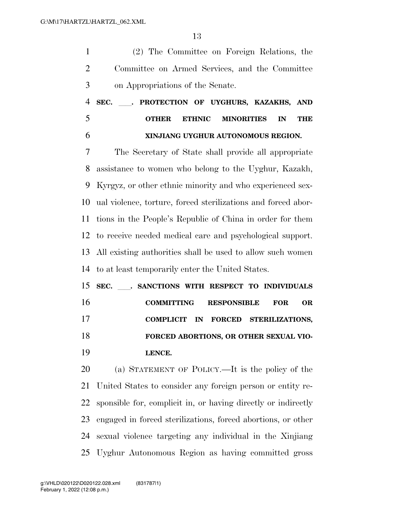(2) The Committee on Foreign Relations, the Committee on Armed Services, and the Committee on Appropriations of the Senate.

 **SEC.** ll**. PROTECTION OF UYGHURS, KAZAKHS, AND OTHER ETHNIC MINORITIES IN THE XINJIANG UYGHUR AUTONOMOUS REGION.** 

 The Secretary of State shall provide all appropriate assistance to women who belong to the Uyghur, Kazakh, Kyrgyz, or other ethnic minority and who experienced sex- ual violence, torture, forced sterilizations and forced abor- tions in the People's Republic of China in order for them to receive needed medical care and psychological support. All existing authorities shall be used to allow such women to at least temporarily enter the United States.

 **SEC.** ll**. SANCTIONS WITH RESPECT TO INDIVIDUALS COMMITTING RESPONSIBLE FOR OR COMPLICIT IN FORCED STERILIZATIONS, FORCED ABORTIONS, OR OTHER SEXUAL VIO-LENCE.** 

 (a) STATEMENT OF POLICY.—It is the policy of the United States to consider any foreign person or entity re- sponsible for, complicit in, or having directly or indirectly engaged in forced sterilizations, forced abortions, or other sexual violence targeting any individual in the Xinjiang Uyghur Autonomous Region as having committed gross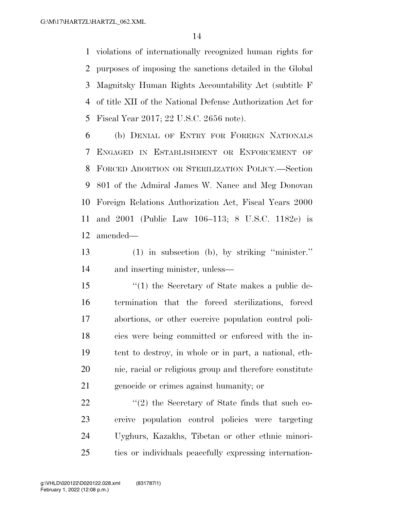violations of internationally recognized human rights for purposes of imposing the sanctions detailed in the Global Magnitsky Human Rights Accountability Act (subtitle F of title XII of the National Defense Authorization Act for Fiscal Year 2017; 22 U.S.C. 2656 note).

 (b) DENIAL OF ENTRY FOR FOREIGN NATIONALS ENGAGED IN ESTABLISHMENT OR ENFORCEMENT OF FORCED ABORTION OR STERILIZATION POLICY.—Section 801 of the Admiral James W. Nance and Meg Donovan Foreign Relations Authorization Act, Fiscal Years 2000 and 2001 (Public Law 106–113; 8 U.S.C. 1182e) is amended—

 (1) in subsection (b), by striking ''minister.'' and inserting minister, unless—

 ''(1) the Secretary of State makes a public de- termination that the forced sterilizations, forced abortions, or other coercive population control poli- cies were being committed or enforced with the in- tent to destroy, in whole or in part, a national, eth- nic, racial or religious group and therefore constitute genocide or crimes against humanity; or

22 ''(2) the Secretary of State finds that such co- ercive population control policies were targeting Uyghurs, Kazakhs, Tibetan or other ethnic minori-ties or individuals peacefully expressing internation